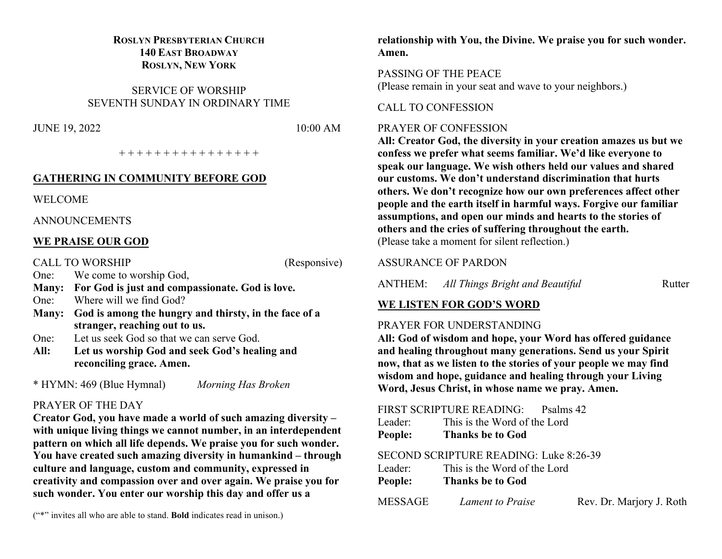## **ROSLYN PRESBYTERIAN CHURCH 140 EAST BROADWAY ROSLYN, NEW YORK**

SERVICE OF WORSHIP SEVENTH SUNDAY IN ORDINARY TIME

JUNE 19, 2022 10:00 AM

+ + + + + + + + + + + + + + + +

#### **GATHERING IN COMMUNITY BEFORE GOD**

WELCOME

ANNOUNCEMENTS

#### **WE PRAISE OUR GOD**

CALL TO WORSHIP (Responsive)

One: We come to worship God,

- **Many: For God is just and compassionate. God is love.** One: Where will we find God?
- **Many: God is among the hungry and thirsty, in the face of a stranger, reaching out to us.**
- One: Let us seek God so that we can serve God.
- **All: Let us worship God and seek God's healing and reconciling grace. Amen.**

\* HYMN: 469 (Blue Hymnal) *Morning Has Broken*

#### PRAYER OF THE DAY

**Creator God, you have made a world of such amazing diversity – with unique living things we cannot number, in an interdependent pattern on which all life depends. We praise you for such wonder. You have created such amazing diversity in humankind – through culture and language, custom and community, expressed in creativity and compassion over and over again. We praise you for such wonder. You enter our worship this day and offer us a** 

**relationship with You, the Divine. We praise you for such wonder. Amen.**

PASSING OF THE PEACE (Please remain in your seat and wave to your neighbors.)

#### CALL TO CONFESSION

#### PRAYER OF CONFESSION

**All: Creator God, the diversity in your creation amazes us but we confess we prefer what seems familiar. We'd like everyone to speak our language. We wish others held our values and shared our customs. We don't understand discrimination that hurts others. We don't recognize how our own preferences affect other people and the earth itself in harmful ways. Forgive our familiar assumptions, and open our minds and hearts to the stories of others and the cries of suffering throughout the earth.** (Please take a moment for silent reflection.)

#### ASSURANCE OF PARDON

ANTHEM: *All Things Bright and Beautiful* Rutter

# **WE LISTEN FOR GOD'S WORD**

#### PRAYER FOR UNDERSTANDING

**All: God of wisdom and hope, your Word has offered guidance and healing throughout many generations. Send us your Spirit now, that as we listen to the stories of your people we may find wisdom and hope, guidance and healing through your Living Word, Jesus Christ, in whose name we pray. Amen.** 

| FIRST SCRIPTURE READING: Psalms 42     |                          |
|----------------------------------------|--------------------------|
| Leader: This is the Word of the Lord   |                          |
| <b>People:</b> Thanks be to God        |                          |
| SECOND SCRIPTURE READING: Luke 8:26-39 |                          |
| Leader: This is the Word of the Lord   |                          |
| <b>People:</b> Thanks be to God        |                          |
| MESSAGE Lament to Praise               | Rev. Dr. Marjory J. Roth |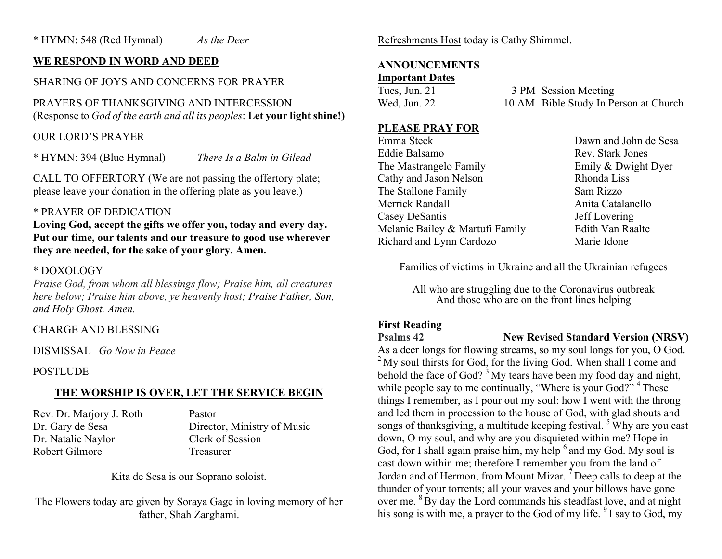## **WE RESPOND IN WORD AND DEED**

# SHARING OF JOYS AND CONCERNS FOR PRAYER

PRAYERS OF THANKSGIVING AND INTERCESSION (Response to *God of the earth and all its peoples*: **Let your light shine!)**

## OUR LORD'S PRAYER

\* HYMN: 394 (Blue Hymnal) *There Is a Balm in Gilead*

CALL TO OFFERTORY (We are not passing the offertory plate; please leave your donation in the offering plate as you leave.)

#### \* PRAYER OF DEDICATION

**Loving God, accept the gifts we offer you, today and every day. Put our time, our talents and our treasure to good use wherever they are needed, for the sake of your glory. Amen.**

#### \* DOXOLOGY

*Praise God, from whom all blessings flow; Praise him, all creatures here below; Praise him above, ye heavenly host; Praise Father, Son, and Holy Ghost. Amen.*

#### CHARGE AND BLESSING

DISMISSAL *Go Now in Peace*

#### POSTLUDE

## **THE WORSHIP IS OVER, LET THE SERVICE BEGIN**

Rev. Dr. Marjory J. Roth Pastor Dr. Natalie Naylor Clerk of Session Robert Gilmore Treasurer

Dr. Gary de Sesa Director, Ministry of Music

Kita de Sesa is our Soprano soloist.

The Flowers today are given by Soraya Gage in loving memory of her father, Shah Zarghami.

Refreshments Host today is Cathy Shimmel.

# **ANNOUNCEMENTS**

#### **Important Dates**

Tues, Jun. 21 3 PM Session Meeting Wed, Jun. 22 10 AM Bible Study In Person at Church

#### **PLEASE PRAY FOR**

Emma Steck Dawn and John de Sesa Eddie Balsamo Rev. Stark Jones The Mastrangelo Family **Emily & Dwight Dyer** Cathy and Jason Nelson Rhonda Liss The Stallone Family Sam Rizzo Merrick Randall **Anita** Catalanello Casey DeSantis Jeff Lovering Melanie Bailey & Martufi Family Edith Van Raalte Richard and Lynn Cardozo Marie Idone

Families of victims in Ukraine and all the Ukrainian refugees

All who are struggling due to the Coronavirus outbreak And those who are on the front lines helping

#### **First Reading**

**Psalms 42 New Revised Standard Version (NRSV)**

As a deer longs for flowing streams, so my soul longs for you, O God.  $2^{\circ}$  My soul thirsts for God, for the living God. When shall I come and behold the face of God?  $3^3$  My tears have been my food day and night, while people say to me continually, "Where is your God?" <sup>4</sup> These things I remember, as I pour out my soul: how I went with the throng and led them in procession to the house of God, with glad shouts and songs of thanksgiving, a multitude keeping festival.<sup>5</sup> Why are you cast down, O my soul, and why are you disquieted within me? Hope in God, for I shall again praise him, my help  $6$  and my God. My soul is cast down within me; therefore I remember you from the land of Jordan and of Hermon, from Mount Mizar.  $\overline{7}$  Deep calls to deep at the thunder of your torrents; all your waves and your billows have gone over me. <sup>8</sup> By day the Lord commands his steadfast love, and at night his song is with me, a prayer to the God of my life. <sup>9</sup> I say to God, my